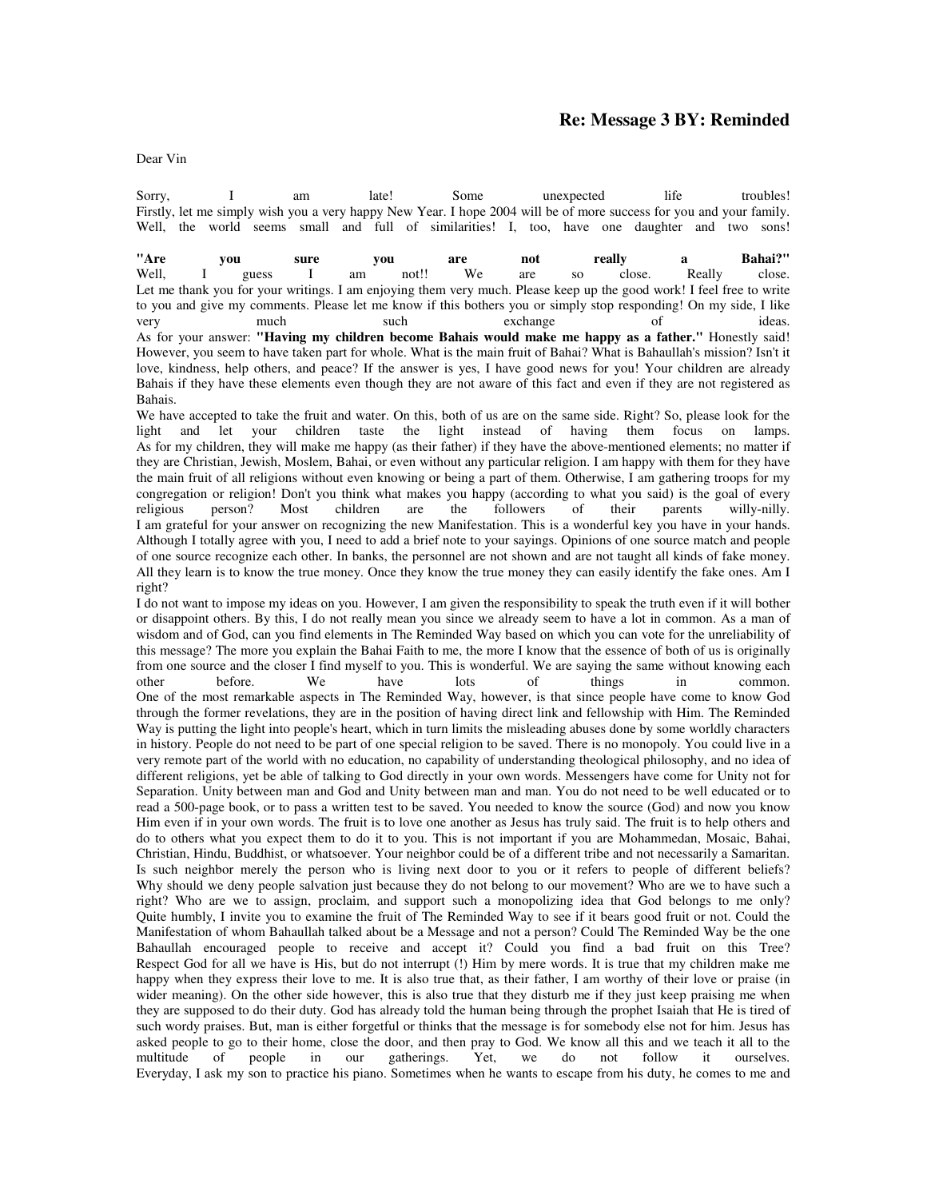## **Re: Message 3 BY: Reminded**

Dear Vin

Sorry, I am late! Some unexpected life troubles! Firstly, let me simply wish you a very happy New Year. I hope 2004 will be of more success for you and your family. Well, the world seems small and full of similarities! I, too, have one daughter and two sons!

**"Are you sure you are not really a Bahai?"** Well, I guess I am not!! We are so close. Really close. Let me thank you for your writings. I am enjoying them very much. Please keep up the good work! I feel free to write to you and give my comments. Please let me know if this bothers you or simply stop responding! On my side, I like very much such such exchange of ideas. As for your answer: **"Having my children become Bahais would make me happy as a father."** Honestly said! However, you seem to have taken part for whole. What is the main fruit of Bahai? What is Bahaullah's mission? Isn't it love, kindness, help others, and peace? If the answer is yes, I have good news for you! Your children are already Bahais if they have these elements even though they are not aware of this fact and even if they are not registered as Bahais.

We have accepted to take the fruit and water. On this, both of us are on the same side. Right? So, please look for the light and let your children taste the light instead of having them focus on lamps. As for my children, they will make me happy (as their father) if they have the above-mentioned elements; no matter if they are Christian, Jewish, Moslem, Bahai, or even without any particular religion. I am happy with them for they have the main fruit of all religions without even knowing or being a part of them. Otherwise, I am gathering troops for my congregation or religion! Don't you think what makes you happy (according to what you said) is the goal of every religious person? Most children are the followers of their parents willy-nilly. religious person? Most children are the followers of their parents willy-nilly. I am grateful for your answer on recognizing the new Manifestation. This is a wonderful key you have in your hands. Although I totally agree with you, I need to add a brief note to your sayings. Opinions of one source match and people of one source recognize each other. In banks, the personnel are not shown and are not taught all kinds of fake money. All they learn is to know the true money. Once they know the true money they can easily identify the fake ones. Am I right?

I do not want to impose my ideas on you. However, I am given the responsibility to speak the truth even if it will bother or disappoint others. By this, I do not really mean you since we already seem to have a lot in common. As a man of wisdom and of God, can you find elements in The Reminded Way based on which you can vote for the unreliability of this message? The more you explain the Bahai Faith to me, the more I know that the essence of both of us is originally from one source and the closer I find myself to you. This is wonderful. We are saying the same without knowing each other before. We have lots of things in common. other before. We have lots of things in common. One of the most remarkable aspects in The Reminded Way, however, is that since people have come to know God through the former revelations, they are in the position of having direct link and fellowship with Him. The Reminded Way is putting the light into people's heart, which in turn limits the misleading abuses done by some worldly characters in history. People do not need to be part of one special religion to be saved. There is no monopoly. You could live in a very remote part of the world with no education, no capability of understanding theological philosophy, and no idea of different religions, yet be able of talking to God directly in your own words. Messengers have come for Unity not for Separation. Unity between man and God and Unity between man and man. You do not need to be well educated or to read a 500-page book, or to pass a written test to be saved. You needed to know the source (God) and now you know Him even if in your own words. The fruit is to love one another as Jesus has truly said. The fruit is to help others and do to others what you expect them to do it to you. This is not important if you are Mohammedan, Mosaic, Bahai, Christian, Hindu, Buddhist, or whatsoever. Your neighbor could be of a different tribe and not necessarily a Samaritan. Is such neighbor merely the person who is living next door to you or it refers to people of different beliefs? Why should we deny people salvation just because they do not belong to our movement? Who are we to have such a right? Who are we to assign, proclaim, and support such a monopolizing idea that God belongs to me only? Quite humbly, I invite you to examine the fruit of The Reminded Way to see if it bears good fruit or not. Could the Manifestation of whom Bahaullah talked about be a Message and not a person? Could The Reminded Way be the one Bahaullah encouraged people to receive and accept it? Could you find a bad fruit on this Tree? Respect God for all we have is His, but do not interrupt (!) Him by mere words. It is true that my children make me happy when they express their love to me. It is also true that, as their father, I am worthy of their love or praise (in wider meaning). On the other side however, this is also true that they disturb me if they just keep praising me when they are supposed to do their duty. God has already told the human being through the prophet Isaiah that He is tired of such wordy praises. But, man is either forgetful or thinks that the message is for somebody else not for him. Jesus has asked people to go to their home, close the door, and then pray to God. We know all this and we teach it all to the multitude of people in our gatherings. Yet, we do not follow it ourselves. multitude of people in our gatherings. Yet, we do not follow it ourselves. Everyday, I ask my son to practice his piano. Sometimes when he wants to escape from his duty, he comes to me and